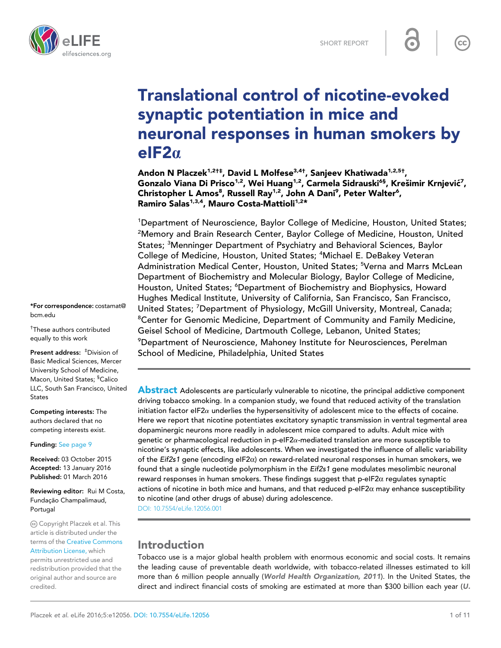

# Translational control of nicotine-evoked synaptic potentiation in mice and neuronal responses in human smokers by  $e$ IF2 $\alpha$

Andon N Placzek<sup>1,2†‡</sup>, David L Molfese<sup>3,4†</sup>, Sanjeev Khatiwada<sup>1,2,5†</sup>, Gonzalo Viana Di Prisco $^{1,2}$ , Wei Huang $^{1,2}$ , Carmela Sidrauski $^{6\$}$ , Krešimir Krnjević $^7$ , Christopher L Amos<sup>8</sup>, Russell Ray<sup>1,2</sup>, John A Dani<sup>9</sup>, Peter Walter<sup>6</sup>, Ramiro Salas<sup>1,3,4</sup>, Mauro Costa-Mattioli<sup>1,2\*</sup>

<sup>1</sup>Department of Neuroscience, Baylor College of Medicine, Houston, United States; 2 Memory and Brain Research Center, Baylor College of Medicine, Houston, United States; <sup>3</sup>Menninger Department of Psychiatry and Behavioral Sciences, Baylor College of Medicine, Houston, United States; <sup>4</sup>Michael E. DeBakey Veteran Administration Medical Center, Houston, United States; <sup>5</sup>Verna and Marrs McLean Department of Biochemistry and Molecular Biology, Baylor College of Medicine, Houston, United States; <sup>6</sup>Department of Biochemistry and Biophysics, Howard Hughes Medical Institute, University of California, San Francisco, San Francisco, United States; <sup>7</sup>Department of Physiology, McGill University, Montreal, Canada; <sup>8</sup>Center for Genomic Medicine, Department of Community and Family Medicine, Geisel School of Medicine, Dartmouth College, Lebanon, United States;  $^9$ Department of Neuroscience, Mahoney Institute for Neurosciences, Perelman School of Medicine, Philadelphia, United States

**Abstract** Adolescents are particularly vulnerable to nicotine, the principal addictive component driving tobacco smoking. In a companion study, we found that reduced activity of the translation initiation factor eIF2 $\alpha$  underlies the hypersensitivity of adolescent mice to the effects of cocaine. Here we report that nicotine potentiates excitatory synaptic transmission in ventral tegmental area dopaminergic neurons more readily in adolescent mice compared to adults. Adult mice with genetic or pharmacological reduction in p-eIF2 $\alpha$ -mediated translation are more susceptible to nicotine's synaptic effects, like adolescents. When we investigated the influence of allelic variability of the Eif2s1 gene (encoding eIF2a) on reward-related neuronal responses in human smokers, we found that a single nucleotide polymorphism in the Eif2s1 gene modulates mesolimbic neuronal reward responses in human smokers. These findings suggest that  $p$ -eIF2 $\alpha$  regulates synaptic actions of nicotine in both mice and humans, and that reduced  $p$ -eIF2 $\alpha$  may enhance susceptibility to nicotine (and other drugs of abuse) during adolescence.

DOI: 10.7554/eLife.12056.001

# Introduction

Tobacco use is a major global health problem with enormous economic and social costs. It remains the leading cause of preventable death worldwide, with tobacco-related illnesses estimated to kill more than 6 million people annually (World Health Organization, 2011). In the United States, the direct and indirect financial costs of smoking are estimated at more than \$300 billion each year (U.

\*For correspondence: costamat@ bcm.edu

† These authors contributed equally to this work

Present address: <sup>‡</sup>Division of Basic Medical Sciences, Mercer University School of Medicine, Macon, United States; <sup>§</sup>Calico LLC, South San Francisco, United **States** 

Competing interests: The authors declared that no competing interests exist.

Funding: See page 9

Received: 03 October 2015 Accepted: 13 January 2016 Published: 01 March 2016

Reviewing editor: Rui M Costa, Fundação Champalimaud, Portugal

Copyright Placzek et al. This article is distributed under the terms of the Creative Commons Attribution License, which permits unrestricted use and redistribution provided that the original author and source are credited.

 $cc$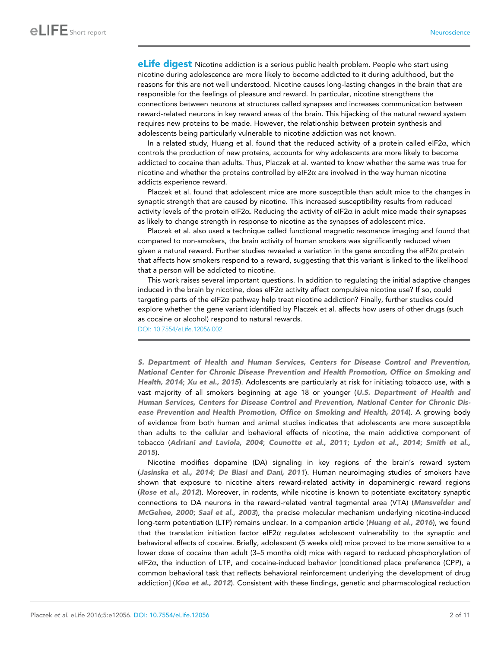**eLife digest** Nicotine addiction is a serious public health problem. People who start using nicotine during adolescence are more likely to become addicted to it during adulthood, but the reasons for this are not well understood. Nicotine causes long-lasting changes in the brain that are responsible for the feelings of pleasure and reward. In particular, nicotine strengthens the connections between neurons at structures called synapses and increases communication between reward-related neurons in key reward areas of the brain. This hijacking of the natural reward system requires new proteins to be made. However, the relationship between protein synthesis and adolescents being particularly vulnerable to nicotine addiction was not known.

In a related study, Huang et al. found that the reduced activity of a protein called eIF2 $\alpha$ , which controls the production of new proteins, accounts for why adolescents are more likely to become addicted to cocaine than adults. Thus, Placzek et al. wanted to know whether the same was true for nicotine and whether the proteins controlled by eIF2 $\alpha$  are involved in the way human nicotine addicts experience reward.

Placzek et al. found that adolescent mice are more susceptible than adult mice to the changes in synaptic strength that are caused by nicotine. This increased susceptibility results from reduced activity levels of the protein eIF2 $\alpha$ . Reducing the activity of eIF2 $\alpha$  in adult mice made their synapses as likely to change strength in response to nicotine as the synapses of adolescent mice.

Placzek et al. also used a technique called functional magnetic resonance imaging and found that compared to non-smokers, the brain activity of human smokers was significantly reduced when given a natural reward. Further studies revealed a variation in the gene encoding the eIF2 $\alpha$  protein that affects how smokers respond to a reward, suggesting that this variant is linked to the likelihood that a person will be addicted to nicotine.

This work raises several important questions. In addition to regulating the initial adaptive changes induced in the brain by nicotine, does eIF2 $\alpha$  activity affect compulsive nicotine use? If so, could targeting parts of the eIF2 $\alpha$  pathway help treat nicotine addiction? Finally, further studies could explore whether the gene variant identified by Placzek et al. affects how users of other drugs (such as cocaine or alcohol) respond to natural rewards.

DOI: 10.7554/eLife.12056.002

S. Department of Health and Human Services, Centers for Disease Control and Prevention, National Center for Chronic Disease Prevention and Health Promotion, Office on Smoking and Health, 2014; Xu et al., 2015). Adolescents are particularly at risk for initiating tobacco use, with a vast majority of all smokers beginning at age 18 or younger (U.S. Department of Health and Human Services, Centers for Disease Control and Prevention, National Center for Chronic Disease Prevention and Health Promotion, Office on Smoking and Health, 2014). A growing body of evidence from both human and animal studies indicates that adolescents are more susceptible than adults to the cellular and behavioral effects of nicotine, the main addictive component of tobacco (Adriani and Laviola, 2004; Counotte et al., 2011; Lydon et al., 2014; Smith et al., 2015).

Nicotine modifies dopamine (DA) signaling in key regions of the brain's reward system (Jasinska et al., 2014; De Biasi and Dani, 2011). Human neuroimaging studies of smokers have shown that exposure to nicotine alters reward-related activity in dopaminergic reward regions (Rose et al., 2012). Moreover, in rodents, while nicotine is known to potentiate excitatory synaptic connections to DA neurons in the reward-related ventral tegmental area (VTA) (Mansvelder and McGehee, 2000; Saal et al., 2003), the precise molecular mechanism underlying nicotine-induced long-term potentiation (LTP) remains unclear. In a companion article (Huang et al., 2016), we found that the translation initiation factor eIF2 $\alpha$  regulates adolescent vulnerability to the synaptic and behavioral effects of cocaine. Briefly, adolescent (5 weeks old) mice proved to be more sensitive to a lower dose of cocaine than adult (3–5 months old) mice with regard to reduced phosphorylation of  $eIF2\alpha$ , the induction of LTP, and cocaine-induced behavior [conditioned place preference (CPP), a common behavioral task that reflects behavioral reinforcement underlying the development of drug addiction] (Koo et al., 2012). Consistent with these findings, genetic and pharmacological reduction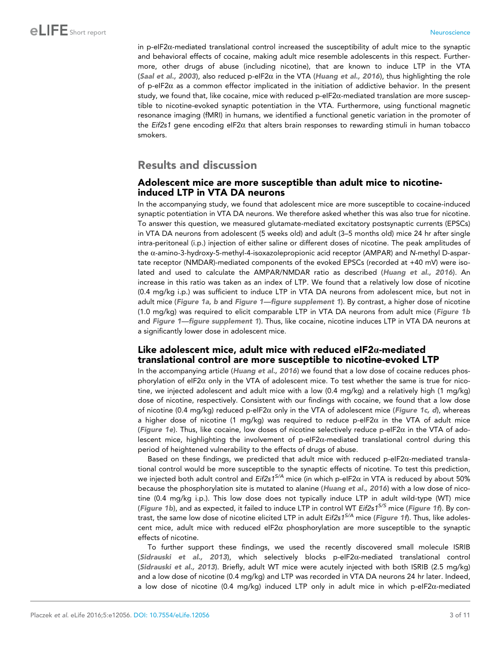in p-eIF2 $\alpha$ -mediated translational control increased the susceptibility of adult mice to the synaptic and behavioral effects of cocaine, making adult mice resemble adolescents in this respect. Furthermore, other drugs of abuse (including nicotine), that are known to induce LTP in the VTA (Saal et al., 2003), also reduced p-eIF2 $\alpha$  in the VTA (Huang et al., 2016), thus highlighting the role of p-eIF2 $\alpha$  as a common effector implicated in the initiation of addictive behavior. In the present study, we found that, like cocaine, mice with reduced p-eIF2 $\alpha$ -mediated translation are more susceptible to nicotine-evoked synaptic potentiation in the VTA. Furthermore, using functional magnetic resonance imaging (fMRI) in humans, we identified a functional genetic variation in the promoter of the Eif2s1 gene encoding eIF2 $\alpha$  that alters brain responses to rewarding stimuli in human tobacco smokers.

# Results and discussion

### Adolescent mice are more susceptible than adult mice to nicotineinduced LTP in VTA DA neurons

In the accompanying study, we found that adolescent mice are more susceptible to cocaine-induced synaptic potentiation in VTA DA neurons. We therefore asked whether this was also true for nicotine. To answer this question, we measured glutamate-mediated excitatory postsynaptic currents (EPSCs) in VTA DA neurons from adolescent (5 weeks old) and adult (3–5 months old) mice 24 hr after single intra-peritoneal (i.p.) injection of either saline or different doses of nicotine. The peak amplitudes of the a-amino-3-hydroxy-5-methyl-4-isoxazolepropionic acid receptor (AMPAR) and N-methyl D-aspartate receptor (NMDAR)-mediated components of the evoked EPSCs (recorded at +40 mV) were isolated and used to calculate the AMPAR/NMDAR ratio as described (Huang et al., 2016). An increase in this ratio was taken as an index of LTP. We found that a relatively low dose of nicotine (0.4 mg/kg i.p.) was sufficient to induce LTP in VTA DA neurons from adolescent mice, but not in adult mice (Figure 1a, b and Figure 1—figure supplement 1). By contrast, a higher dose of nicotine (1.0 mg/kg) was required to elicit comparable LTP in VTA DA neurons from adult mice (Figure 1b and Figure 1—figure supplement 1). Thus, like cocaine, nicotine induces LTP in VTA DA neurons at a significantly lower dose in adolescent mice.

### Like adolescent mice, adult mice with reduced eIF2 $\alpha$ -mediated translational control are more susceptible to nicotine-evoked LTP

In the accompanying article (Huang et al., 2016) we found that a low dose of cocaine reduces phosphorylation of eIF2 $\alpha$  only in the VTA of adolescent mice. To test whether the same is true for nicotine, we injected adolescent and adult mice with a low (0.4 mg/kg) and a relatively high (1 mg/kg) dose of nicotine, respectively. Consistent with our findings with cocaine, we found that a low dose of nicotine (0.4 mg/kg) reduced p-eIF2 $\alpha$  only in the VTA of adolescent mice (Figure 1c, d), whereas a higher dose of nicotine (1 mg/kg) was required to reduce p-eIF2 $\alpha$  in the VTA of adult mice (Figure 1e). Thus, like cocaine, low doses of nicotine selectively reduce  $p$ -eIF2 $\alpha$  in the VTA of adolescent mice, highlighting the involvement of p-eIF2 $\alpha$ -mediated translational control during this period of heightened vulnerability to the effects of drugs of abuse.

Based on these findings, we predicted that adult mice with reduced p-eIF2a-mediated translational control would be more susceptible to the synaptic effects of nicotine. To test this prediction, we injected both adult control and Eif2s1<sup>S/A</sup> mice (in which p-eIF2 $\alpha$  in VTA is reduced by about 50% because the phosphorylation site is mutated to alanine (Huang et al., 2016) with a low dose of nicotine (0.4 mg/kg i.p.). This low dose does not typically induce LTP in adult wild-type (WT) mice (Figure 1b), and as expected, it failed to induce LTP in control WT Eif2s1<sup>S/S</sup> mice (Figure 1f). By contrast, the same low dose of nicotine elicited LTP in adult Eif2s1<sup>S/A</sup> mice (Figure 1f). Thus, like adolescent mice, adult mice with reduced eIF2 $\alpha$  phosphorylation are more susceptible to the synaptic effects of nicotine.

To further support these findings, we used the recently discovered small molecule ISRIB (Sidrauski et al., 2013), which selectively blocks p-elF2 $\alpha$ -mediated translational control (Sidrauski et al., 2013). Briefly, adult WT mice were acutely injected with both ISRIB (2.5 mg/kg) and a low dose of nicotine (0.4 mg/kg) and LTP was recorded in VTA DA neurons 24 hr later. Indeed, a low dose of nicotine (0.4 mg/kg) induced LTP only in adult mice in which p-eIF2a-mediated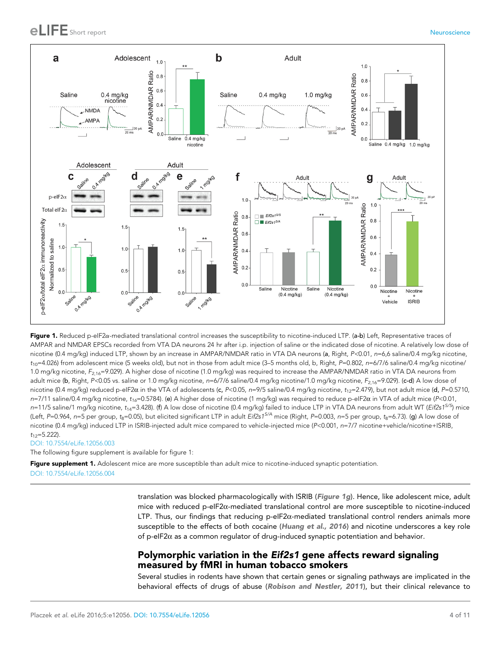

Figure 1. Reduced p-eIF2a-mediated translational control increases the susceptibility to nicotine-induced LTP. (a-b) Left, Representative traces of AMPAR and NMDAR EPSCs recorded from VTA DA neurons 24 hr after i.p. injection of saline or the indicated dose of nicotine. A relatively low dose of nicotine (0.4 mg/kg) induced LTP, shown by an increase in AMPAR/NMDAR ratio in VTA DA neurons (a, Right, P<0.01, n=6,6 saline/0.4 mg/kg nicotine,  $t_{10}$ =4.026) from adolescent mice (5 weeks old), but not in those from adult mice (3–5 months old, b, Right, P=0.802, n=6/7/6 saline/0.4 mg/kg nicotine/ 1.0 mg/kg nicotine, F<sub>2.16</sub>=9.029). A higher dose of nicotine (1.0 mg/kg) was required to increase the AMPAR/NMDAR ratio in VTA DA neurons from adult mice (b, Right, P<0.05 vs. saline or 1.0 mg/kg nicotine, n=6/7/6 saline/0.4 mg/kg nicotine/1.0 mg/kg nicotine,  $F_{2.16}$ =9.029). (c-d) A low dose of nicotine (0.4 mg/kg) reduced p-eIF2 $\alpha$  in the VTA of adolescents (c, P<0.05, n=9/5 saline/0.4 mg/kg nicotine,  $t_{12}=2.479$ ), but not adult mice (d, P=0.5710,  $n=7/11$  saline/0.4 mg/kg nicotine,  $t_{16}=0.5784$ ). (e) A higher dose of nicotine (1 mg/kg) was required to reduce p-eIF2 $\alpha$  in VTA of adult mice (P<0.01,  $n=11/5$  saline/1 mg/kg nicotine,  $t_{14}=3.428$ ). (f) A low dose of nicotine (0.4 mg/kg) failed to induce LTP in VTA DA neurons from adult WT (Eif2s1<sup>S/S</sup>) mice (Left, P=0.964, n=5 per group, t<sub>8</sub>=0.05), but elicited significant LTP in adult Eif2s1<sup>S/A</sup> mice (Right, P=0.003, n=5 per group, t<sub>8</sub>=6.73). (g) A low dose of nicotine (0.4 mg/kg) induced LTP in ISRIB-injected adult mice compared to vehicle-injected mice (P<0.001, n=7/7 nicotine+vehicle/nicotine+ISRIB,  $t_{12}=5.222$ ).

#### DOI: 10.7554/eLife.12056.003

The following figure supplement is available for figure 1:

Figure supplement 1. Adolescent mice are more susceptible than adult mice to nicotine-induced synaptic potentiation. DOI: 10.7554/eLife.12056.004

> translation was blocked pharmacologically with ISRIB (Figure 1g). Hence, like adolescent mice, adult mice with reduced p-eIF2a-mediated translational control are more susceptible to nicotine-induced LTP. Thus, our findings that reducing p-eIF2 $\alpha$ -mediated translational control renders animals more susceptible to the effects of both cocaine (Huang et al., 2016) and nicotine underscores a key role of p-eIF2 $\alpha$  as a common regulator of drug-induced synaptic potentiation and behavior.

#### Polymorphic variation in the Eif2s1 gene affects reward signaling measured by fMRI in human tobacco smokers

Several studies in rodents have shown that certain genes or signaling pathways are implicated in the behavioral effects of drugs of abuse (Robison and Nestler, 2011), but their clinical relevance to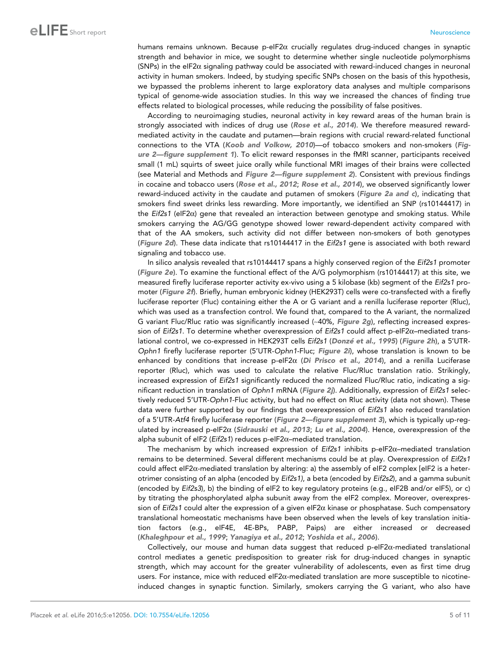humans remains unknown. Because p-eIF2 $\alpha$  crucially regulates drug-induced changes in synaptic strength and behavior in mice, we sought to determine whether single nucleotide polymorphisms  $(SNPs)$  in the eIF2 $\alpha$  signaling pathway could be associated with reward-induced changes in neuronal activity in human smokers. Indeed, by studying specific SNPs chosen on the basis of this hypothesis, we bypassed the problems inherent to large exploratory data analyses and multiple comparisons typical of genome-wide association studies. In this way we increased the chances of finding true effects related to biological processes, while reducing the possibility of false positives.

According to neuroimaging studies, neuronal activity in key reward areas of the human brain is strongly associated with indices of drug use (Rose et al., 2014). We therefore measured rewardmediated activity in the caudate and putamen—brain regions with crucial reward-related functional connections to the VTA (Koob and Volkow, 2010)—of tobacco smokers and non-smokers (Figure 2—figure supplement 1). To elicit reward responses in the fMRI scanner, participants received small (1 mL) squirts of sweet juice orally while functional MRI images of their brains were collected (see Material and Methods and Figure 2—figure supplement 2). Consistent with previous findings in cocaine and tobacco users (Rose et al., 2012; Rose et al., 2014), we observed significantly lower reward-induced activity in the caudate and putamen of smokers (Figure 2a and c), indicating that smokers find sweet drinks less rewarding. More importantly, we identified an SNP (rs10144417) in the Eif2s1 (eIF2 $\alpha$ ) gene that revealed an interaction between genotype and smoking status. While smokers carrying the AG/GG genotype showed lower reward-dependent activity compared with that of the AA smokers, such activity did not differ between non-smokers of both genotypes (Figure 2d). These data indicate that rs10144417 in the Eif2s1 gene is associated with both reward signaling and tobacco use.

In silico analysis revealed that rs10144417 spans a highly conserved region of the Eif2s1 promoter (Figure 2e). To examine the functional effect of the A/G polymorphism (rs10144417) at this site, we measured firefly luciferase reporter activity ex-vivo using a 5 kilobase (kb) segment of the Eif2s1 promoter (Figure 2f). Briefly, human embryonic kidney (HEK293T) cells were co-transfected with a firefly luciferase reporter (Fluc) containing either the A or G variant and a renilla luciferase reporter (Rluc), which was used as a transfection control. We found that, compared to the A variant, the normalized G variant Fluc/Rluc ratio was significantly increased  $\sim$ 40%, Figure 2g), reflecting increased expression of Eif2s1. To determine whether overexpression of Eif2s1 could affect p-eIF2 $\alpha$ –mediated translational control, we co-expressed in HEK293T cells Eif2s1 (Donzé et al., 1995) (Figure 2h), a 5'UTR-Ophn1 firefly luciferase reporter (5'UTR-Ophn1-Fluc; Figure 2i), whose translation is known to be enhanced by conditions that increase p-eIF2 $\alpha$  (Di Prisco et al., 2014), and a renilla Luciferase reporter (Rluc), which was used to calculate the relative Fluc/Rluc translation ratio. Strikingly, increased expression of Eif2s1 significantly reduced the normalized Fluc/Rluc ratio, indicating a significant reduction in translation of Ophn1 mRNA (Figure 2j). Additionally, expression of Eif2s1 selectively reduced 5'UTR-Ophn1-Fluc activity, but had no effect on Rluc activity (data not shown). These data were further supported by our findings that overexpression of Eif2s1 also reduced translation of a 5'UTR-Atf4 firefly luciferase reporter (Figure 2—figure supplement 3), which is typically up-regulated by increased p-eIF2 $\alpha$  (Sidrauski et al., 2013; Lu et al., 2004). Hence, overexpression of the alpha subunit of eIF2 (Eif2s1) reduces p-eIF2 $\alpha$ –mediated translation.

The mechanism by which increased expression of Eif2s1 inhibits p-eIF2 $\alpha$ –mediated translation remains to be determined. Several different mechanisms could be at play. Overexpression of Eif2s1 could affect eIF2a-mediated translation by altering: a) the assembly of eIF2 complex [eIF2 is a heterotrimer consisting of an alpha (encoded by Eif2s1), a beta (encoded by Eif2s2), and a gamma subunit (encoded by Eif2s3), b) the binding of eIF2 to key regulatory proteins (e.g., eIF2B and/or eIF5), or c) by titrating the phosphorylated alpha subunit away from the eIF2 complex. Moreover, overexpression of Eif2s1 could alter the expression of a given eIF2 $\alpha$  kinase or phosphatase. Such compensatory translational homeostatic mechanisms have been observed when the levels of key translation initiation factors (e.g., eIF4E, 4E-BPs, PABP, Paips) are either increased or decreased (Khaleghpour et al., 1999; Yanagiya et al., 2012; Yoshida et al., 2006).

Collectively, our mouse and human data suggest that reduced p-eIF2a-mediated translational control mediates a genetic predisposition to greater risk for drug-induced changes in synaptic strength, which may account for the greater vulnerability of adolescents, even as first time drug users. For instance, mice with reduced eIF2a-mediated translation are more susceptible to nicotineinduced changes in synaptic function. Similarly, smokers carrying the G variant, who also have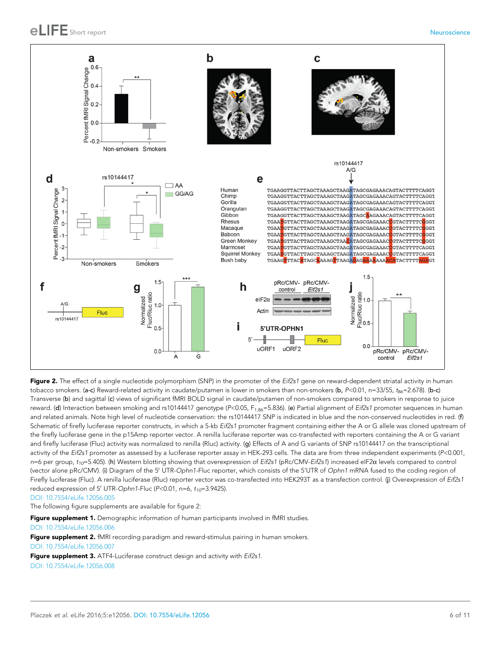

Figure 2. The effect of a single nucleotide polymorphism (SNP) in the promoter of the Eif2s1 gene on reward-dependent striatal activity in human tobacco smokers. (a-c) Reward-related activity in caudate/putamen is lower in smokers than non-smokers (b, P<0.01, n=33/55, t<sub>86</sub>=2.678). (b-c) Transverse (b) and sagittal (c) views of significant fMRI BOLD signal in caudate/putamen of non-smokers compared to smokers in response to juice reward. (d) Interaction between smoking and rs10144417 genotype (P<0.05,  $F_{1.86}$ =5.836). (e) Partial alignment of Eif2s1 promoter sequences in human and related animals. Note high level of nucleotide conservation: the rs10144417 SNP is indicated in blue and the non-conserved nucleotides in red. (f) Schematic of firefly luciferase reporter constructs, in which a 5-kb Eif2s1 promoter fragment containing either the A or G allele was cloned upstream of the firefly luciferase gene in the p15Amp reporter vector. A renilla luciferase reporter was co-transfected with reporters containing the A or G variant and firefly luciferase (Fluc) activity was normalized to renilla (Rluc) activity. (g) Effects of A and G variants of SNP rs10144417 on the transcriptional activity of the Eif2s1 promoter as assessed by a luciferase reporter assay in HEK-293 cells. The data are from three independent experiments (P<0.001,  $n=6$  per group,  $t_{10}=5.405$ ). (h) Western blotting showing that overexpression of Eif2s1 (pRc/CMV-Eif2s1) increased eIF2 $\alpha$  levels compared to control (vector alone pRc/CMV). (i) Diagram of the 5' UTR-Ophn1-Fluc reporter, which consists of the 5'UTR of Ophn1 mRNA fused to the coding region of Firefly luciferase (Fluc). A renilla luciferase (Rluc) reporter vector was co-transfected into HEK293T as a transfection control. (j) Overexpression of Eif2s1 reduced expression of 5' UTR-Ophn1-Fluc (P<0.01, n=6,  $t_{10}$ =3.9425).

DOI: 10.7554/eLife.12056.005

The following figure supplements are available for figure 2:

Figure supplement 1. Demographic information of human participants involved in fMRI studies. DOI: 10.7554/eLife.12056.006

Figure supplement 2. fMRI recording paradigm and reward-stimulus pairing in human smokers.

DOI: 10.7554/eLife.12056.007

Figure supplement 3. ATF4-Luciferase construct design and activity with Eif2s1.

DOI: 10.7554/eLife.12056.008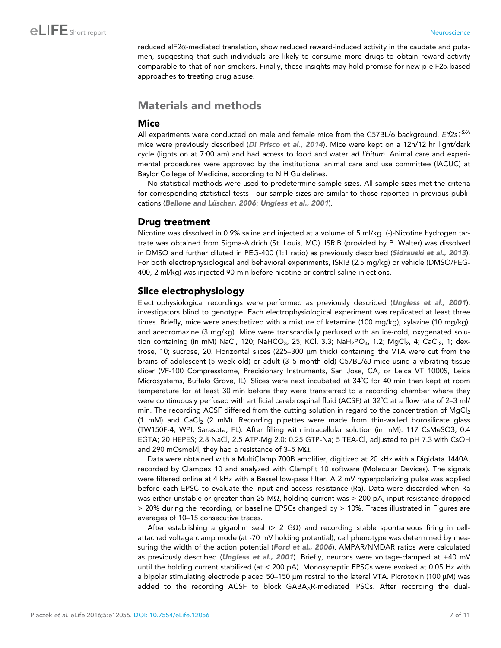reduced eIF2a-mediated translation, show reduced reward-induced activity in the caudate and putamen, suggesting that such individuals are likely to consume more drugs to obtain reward activity comparable to that of non-smokers. Finally, these insights may hold promise for new p-eIF2 $\alpha$ -based approaches to treating drug abuse.

## Materials and methods

#### Mice

All experiments were conducted on male and female mice from the C57BL/6 background. Eif2s1<sup>S/A</sup> mice were previously described (Di Prisco et al., 2014). Mice were kept on a 12h/12 hr light/dark cycle (lights on at 7:00 am) and had access to food and water ad libitum. Animal care and experimental procedures were approved by the institutional animal care and use committee (IACUC) at Baylor College of Medicine, according to NIH Guidelines.

No statistical methods were used to predetermine sample sizes. All sample sizes met the criteria for corresponding statistical tests—our sample sizes are similar to those reported in previous publications (Bellone and Lüscher, 2006; Ungless et al., 2001).

### Drug treatment

Nicotine was dissolved in 0.9% saline and injected at a volume of 5 ml/kg. (-)-Nicotine hydrogen tartrate was obtained from Sigma-Aldrich (St. Louis, MO). ISRIB (provided by P. Walter) was dissolved in DMSO and further diluted in PEG-400 (1:1 ratio) as previously described (Sidrauski et al., 2013). For both electrophysiological and behavioral experiments, ISRIB (2.5 mg/kg) or vehicle (DMSO/PEG-400, 2 ml/kg) was injected 90 min before nicotine or control saline injections.

### Slice electrophysiology

Electrophysiological recordings were performed as previously described (Ungless et al., 2001), investigators blind to genotype. Each electrophysiological experiment was replicated at least three times. Briefly, mice were anesthetized with a mixture of ketamine (100 mg/kg), xylazine (10 mg/kg), and acepromazine (3 mg/kg). Mice were transcardially perfused with an ice-cold, oxygenated solution containing (in mM) NaCl, 120; NaHCO<sub>3</sub>, 25; KCl, 3.3; NaH<sub>2</sub>PO<sub>4</sub>, 1.2; MgCl<sub>2</sub>, 4; CaCl<sub>2</sub>, 1; dextrose, 10; sucrose, 20. Horizontal slices (225-300 µm thick) containing the VTA were cut from the brains of adolescent (5 week old) or adult (3–5 month old) C57BL/6J mice using a vibrating tissue slicer (VF-100 Compresstome, Precisionary Instruments, San Jose, CA, or Leica VT 1000S, Leica Microsystems, Buffalo Grove, IL). Slices were next incubated at 34˚C for 40 min then kept at room temperature for at least 30 min before they were transferred to a recording chamber where they were continuously perfused with artificial cerebrospinal fluid (ACSF) at 32˚C at a flow rate of 2–3 ml/ min. The recording ACSF differed from the cutting solution in regard to the concentration of  $MqCl<sub>2</sub>$  $(1 \text{ mM})$  and CaCl<sub>2</sub>  $(2 \text{ mM})$ . Recording pipettes were made from thin-walled borosilicate glass (TW150F-4, WPI, Sarasota, FL). After filling with intracellular solution (in mM): 117 CsMeSO3; 0.4 EGTA; 20 HEPES; 2.8 NaCl, 2.5 ATP-Mg 2.0; 0.25 GTP-Na; 5 TEA-Cl, adjusted to pH 7.3 with CsOH and 290 mOsmol/l, they had a resistance of 3-5 M $\Omega$ .

Data were obtained with a MultiClamp 700B amplifier, digitized at 20 kHz with a Digidata 1440A, recorded by Clampex 10 and analyzed with Clampfit 10 software (Molecular Devices). The signals were filtered online at 4 kHz with a Bessel low-pass filter. A 2 mV hyperpolarizing pulse was applied before each EPSC to evaluate the input and access resistance (Ra). Data were discarded when Ra was either unstable or greater than 25 M $\Omega$ , holding current was > 200 pA, input resistance dropped > 20% during the recording, or baseline EPSCs changed by > 10%. Traces illustrated in Figures are averages of 10–15 consecutive traces.

After establishing a gigaohm seal  $(> 2 \text{ G}\Omega)$  and recording stable spontaneous firing in cellattached voltage clamp mode (at -70 mV holding potential), cell phenotype was determined by measuring the width of the action potential (Ford et al., 2006). AMPAR/NMDAR ratios were calculated as previously described (Ungless et al., 2001). Briefly, neurons were voltage-clamped at +40 mV until the holding current stabilized (at < 200 pA). Monosynaptic EPSCs were evoked at 0.05 Hz with a bipolar stimulating electrode placed 50–150  $\mu$ m rostral to the lateral VTA. Picrotoxin (100  $\mu$ M) was added to the recording ACSF to block  $GABA_AR$ -mediated IPSCs. After recording the dual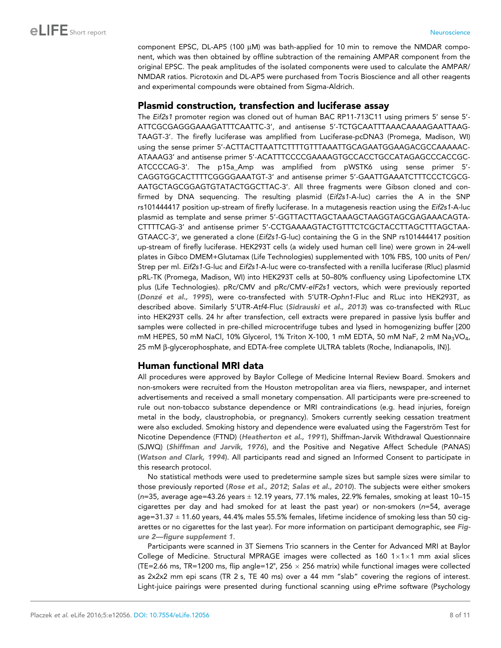component EPSC, DL-AP5 (100  $\mu$ M) was bath-applied for 10 min to remove the NMDAR component, which was then obtained by offline subtraction of the remaining AMPAR component from the original EPSC. The peak amplitudes of the isolated components were used to calculate the AMPAR/ NMDAR ratios. Picrotoxin and DL-AP5 were purchased from Tocris Bioscience and all other reagents and experimental compounds were obtained from Sigma-Aldrich.

#### Plasmid construction, transfection and luciferase assay

The Eif2s1 promoter region was cloned out of human BAC RP11-713C11 using primers 5' sense 5'-ATTCGCGAGGGAAAGATTTCAATTC-3', and antisense 5'-TCTGCAATTTAAACAAAAGAATTAAG-TAAGT-3'. The firefly luciferase was amplified from Luciferase-pcDNA3 (Promega, Madison, WI) using the sense primer 5'-ACTTACTTAATTCTTTTGTTTAAATTGCAGAATGGAAGACGCCAAAAAC-ATAAAG3' and antisense primer 5'-ACATTTCCCCGAAAAGTGCCACCTGCCATAGAGCCCACCGC-ATCCCCAG-3'. The p15a\_Amp was amplified from pWSTK6 using sense primer 5'- CAGGTGGCACTTTTCGGGGAAATGT-3' and antisense primer 5'-GAATTGAAATCTTTCCCTCGCG-AATGCTAGCGGAGTGTATACTGGCTTAC-3'. All three fragments were Gibson cloned and confirmed by DNA sequencing. The resulting plasmid (Eif2s1-A-luc) carries the A in the SNP rs101444417 position up-stream of firefly luciferase. In a mutagenesis reaction using the Eif2s1-A-luc plasmid as template and sense primer 5'-GGTTACTTAGCTAAAGCTAAGGTAGCGAGAAACAGTA-CTTTTCAG-3' and antisense primer 5'-CCTGAAAAGTACTGTTTCTCGCTACCTTAGCTTTAGCTAA-GTAACC-3', we generated a clone (Eif2s1-G-luc) containing the G in the SNP rs101444417 position up-stream of firefly luciferase. HEK293T cells (a widely used human cell line) were grown in 24-well plates in Gibco DMEM+Glutamax (Life Technologies) supplemented with 10% FBS, 100 units of Pen/ Strep per ml. Eif2s1-G-luc and Eif2s1-A-luc were co-transfected with a renilla luciferase (Rluc) plasmid pRL-TK (Promega, Madison, WI) into HEK293T cells at 50–80% confluency using Lipofectomine LTX plus (Life Technologies). pRc/CMV and pRc/CMV-eIF2s1 vectors, which were previously reported (Donzé et al., 1995), were co-transfected with 5'UTR-Ophn1-Fluc and RLuc into HEK293T, as described above. Similarly 5'UTR-Atf4-Fluc (Sidrauski et al., 2013) was co-transfected with RLuc into HEK293T cells. 24 hr after transfection, cell extracts were prepared in passive lysis buffer and samples were collected in pre-chilled microcentrifuge tubes and lysed in homogenizing buffer [200 mM HEPES, 50 mM NaCl, 10% Glycerol, 1% Triton X-100, 1 mM EDTA, 50 mM NaF, 2 mM Na<sub>3</sub>VO<sub>4</sub>, 25 mM β-glycerophosphate, and EDTA-free complete ULTRA tablets (Roche, Indianapolis, IN)].

#### Human functional MRI data

All procedures were approved by Baylor College of Medicine Internal Review Board. Smokers and non-smokers were recruited from the Houston metropolitan area via fliers, newspaper, and internet advertisements and received a small monetary compensation. All participants were pre-screened to rule out non-tobacco substance dependence or MRI contraindications (e.g. head injuries, foreign metal in the body, claustrophobia, or pregnancy). Smokers currently seeking cessation treatment were also excluded. Smoking history and dependence were evaluated using the Fagerström Test for Nicotine Dependence (FTND) (Heatherton et al., 1991), Shiffman-Jarvik Withdrawal Questionnaire (SJWQ) (Shiffman and Jarvik, 1976), and the Positive and Negative Affect Schedule (PANAS) (Watson and Clark, 1994). All participants read and signed an Informed Consent to participate in this research protocol.

No statistical methods were used to predetermine sample sizes but sample sizes were similar to those previously reported (Rose et al., 2012; Salas et al., 2010). The subjects were either smokers ( $n=35$ , average age=43.26 years  $\pm$  12.19 years, 77.1% males, 22.9% females, smoking at least 10-15 cigarettes per day and had smoked for at least the past year) or non-smokers (n=54, average age=31.37 ± 11.60 years, 44.4% males 55.5% females, lifetime incidence of smoking less than 50 cigarettes or no cigarettes for the last year). For more information on participant demographic, see Figure 2—figure supplement 1.

Participants were scanned in 3T Siemens Trio scanners in the Center for Advanced MRI at Baylor College of Medicine. Structural MPRAGE images were collected as 160  $1 \times 1 \times 1$  mm axial slices (TE=2.66 ms, TR=1200 ms, flip angle=12°, 256  $\times$  256 matrix) while functional images were collected as 2x2x2 mm epi scans (TR 2 s, TE 40 ms) over a 44 mm "slab" covering the regions of interest. Light-juice pairings were presented during functional scanning using ePrime software (Psychology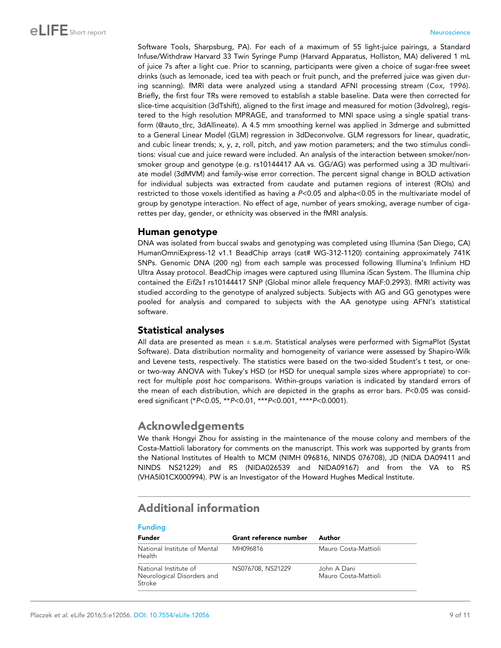Software Tools, Sharpsburg, PA). For each of a maximum of 55 light-juice pairings, a Standard Infuse/Withdraw Harvard 33 Twin Syringe Pump (Harvard Apparatus, Holliston, MA) delivered 1 mL of juice 7s after a light cue. Prior to scanning, participants were given a choice of sugar-free sweet drinks (such as lemonade, iced tea with peach or fruit punch, and the preferred juice was given during scanning). fMRI data were analyzed using a standard AFNI processing stream (Cox, 1996). Briefly, the first four TRs were removed to establish a stable baseline. Data were then corrected for slice-time acquisition (3dTshift), aligned to the first image and measured for motion (3dvolreg), registered to the high resolution MPRAGE, and transformed to MNI space using a single spatial transform (@auto\_tlrc, 3dAllineate). A 4.5 mm smoothing kernel was applied in 3dmerge and submitted to a General Linear Model (GLM) regression in 3dDeconvolve. GLM regressors for linear, quadratic, and cubic linear trends; x, y, z, roll, pitch, and yaw motion parameters; and the two stimulus conditions: visual cue and juice reward were included. An analysis of the interaction between smoker/nonsmoker group and genotype (e.g. rs10144417 AA vs. GG/AG) was performed using a 3D multivariate model (3dMVM) and family-wise error correction. The percent signal change in BOLD activation for individual subjects was extracted from caudate and putamen regions of interest (ROIs) and restricted to those voxels identified as having a P<0.05 and alpha<0.05 in the multivariate model of group by genotype interaction. No effect of age, number of years smoking, average number of cigarettes per day, gender, or ethnicity was observed in the fMRI analysis.

### Human genotype

DNA was isolated from buccal swabs and genotyping was completed using Illumina (San Diego, CA) HumanOmniExpress-12 v1.1 BeadChip arrays (cat# WG-312-1120) containing approximately 741K SNPs. Genomic DNA (200 ng) from each sample was processed following Illumina's Infinium HD Ultra Assay protocol. BeadChip images were captured using Illumina iScan System. The Illumina chip contained the Eif2s1 rs10144417 SNP (Global minor allele frequency MAF:0.2993). fMRI activity was studied according to the genotype of analyzed subjects. Subjects with AG and GG genotypes were pooled for analysis and compared to subjects with the AA genotype using AFNI's statistical software.

### Statistical analyses

All data are presented as mean  $\pm$  s.e.m. Statistical analyses were performed with SigmaPlot (Systat Software). Data distribution normality and homogeneity of variance were assessed by Shapiro-Wilk and Levene tests, respectively. The statistics were based on the two-sided Student's t test, or oneor two-way ANOVA with Tukey's HSD (or HSD for unequal sample sizes where appropriate) to correct for multiple post hoc comparisons. Within-groups variation is indicated by standard errors of the mean of each distribution, which are depicted in the graphs as error bars. P<0.05 was considered significant (\*P<0.05, \*\*P<0.01, \*\*\*P<0.001, \*\*\*\*P<0.0001).

## Acknowledgements

We thank Hongyi Zhou for assisting in the maintenance of the mouse colony and members of the Costa-Mattioli laboratory for comments on the manuscript. This work was supported by grants from the National Institutes of Health to MCM (NIMH 096816, NINDS 076708), JD (NIDA DA09411 and NINDS NS21229) and RS (NIDA026539 and NIDA09167) and from the VA to RS (VHA5I01CX000994). PW is an Investigator of the Howard Hughes Medical Institute.

# Additional information

| <b>Funding</b>                                                |                        |                                     |
|---------------------------------------------------------------|------------------------|-------------------------------------|
| <b>Funder</b>                                                 | Grant reference number | Author                              |
| National Institute of Mental<br>Health                        | MH096816               | Mauro Costa-Mattioli                |
| National Institute of<br>Neurological Disorders and<br>Stroke | NS076708, NS21229      | John A Dani<br>Mauro Costa-Mattioli |

#### Placzek et al. eLife 2016;5:e12056. DOI: 10.7554/eLife.12056 9 of 11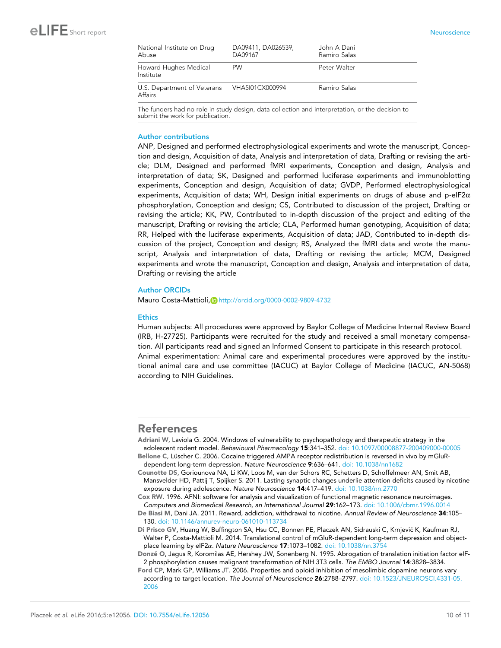| National Institute on Drug<br>Abuse                    | DA09411, DA026539,<br>DA09167 | John A Dani<br>Ramiro Salas |
|--------------------------------------------------------|-------------------------------|-----------------------------|
| Howard Hughes Medical<br>Institute                     | <b>PW</b>                     | Peter Walter                |
| U.S. Department of Veterans VHA5I01CX000994<br>Affairs |                               | Ramiro Salas                |

The funders had no role in study design, data collection and interpretation, or the decision to submit the work for publication.

#### Author contributions

ANP, Designed and performed electrophysiological experiments and wrote the manuscript, Conception and design, Acquisition of data, Analysis and interpretation of data, Drafting or revising the article; DLM, Designed and performed fMRI experiments, Conception and design, Analysis and interpretation of data; SK, Designed and performed luciferase experiments and immunoblotting experiments, Conception and design, Acquisition of data; GVDP, Performed electrophysiological experiments, Acquisition of data; WH, Design initial experiments on drugs of abuse and p-eIF2 $\alpha$ phosphorylation, Conception and design; CS, Contributed to discussion of the project, Drafting or revising the article; KK, PW, Contributed to in-depth discussion of the project and editing of the manuscript, Drafting or revising the article; CLA, Performed human genotyping, Acquisition of data; RR, Helped with the luciferase experiments, Acquisition of data; JAD, Contributed to in-depth discussion of the project, Conception and design; RS, Analyzed the fMRI data and wrote the manuscript, Analysis and interpretation of data, Drafting or revising the article; MCM, Designed experiments and wrote the manuscript, Conception and design, Analysis and interpretation of data, Drafting or revising the article

#### Author ORCIDs

Mauro Costa-Mattioli, Dhttp://orcid.org/0000-0002-9809-4732

#### **Ethics**

Human subjects: All procedures were approved by Baylor College of Medicine Internal Review Board (IRB, H-27725). Participants were recruited for the study and received a small monetary compensation. All participants read and signed an Informed Consent to participate in this research protocol. Animal experimentation: Animal care and experimental procedures were approved by the institutional animal care and use committee (IACUC) at Baylor College of Medicine (IACUC, AN-5068) according to NIH Guidelines.

#### References

Adriani W, Laviola G. 2004. Windows of vulnerability to psychopathology and therapeutic strategy in the adolescent rodent model. Behavioural Pharmacology 15:341–352. doi: 10.1097/00008877-200409000-00005

Bellone C, Lüscher C. 2006. Cocaine triggered AMPA receptor redistribution is reversed in vivo by mGluRdependent long-term depression. Nature Neuroscience 9:636–641. doi: 10.1038/nn1682

Counotte DS, Goriounova NA, Li KW, Loos M, van der Schors RC, Schetters D, Schoffelmeer AN, Smit AB, Mansvelder HD, Pattij T, Spijker S. 2011. Lasting synaptic changes underlie attention deficits caused by nicotine exposure during adolescence. Nature Neuroscience 14:417–419. doi: 10.1038/nn.2770

Cox RW. 1996. AFNI: software for analysis and visualization of functional magnetic resonance neuroimages. Computers and Biomedical Research, an International Journal 29:162–173. doi: 10.1006/cbmr.1996.0014

De Biasi M, Dani JA. 2011. Reward, addiction, withdrawal to nicotine. Annual Review of Neuroscience 34:105– 130. doi: 10.1146/annurev-neuro-061010-113734

Di Prisco GV, Huang W, Buffington SA, Hsu CC, Bonnen PE, Placzek AN, Sidrauski C, Krnjević K, Kaufman RJ, Walter P, Costa-Mattioli M. 2014. Translational control of mGluR-dependent long-term depression and objectplace learning by eIF2 $\alpha$ . Nature Neuroscience 17:1073–1082. doi: 10.1038/nn.3754

Donzé O, Jagus R, Koromilas AE, Hershey JW, Sonenberg N. 1995. Abrogation of translation initiation factor eIF-2 phosphorylation causes malignant transformation of NIH 3T3 cells. The EMBO Journal 14:3828–3834.

Ford CP, Mark GP, Williams JT. 2006. Properties and opioid inhibition of mesolimbic dopamine neurons vary according to target location. The Journal of Neuroscience 26:2788-2797. doi: 10.1523/JNEUROSCI.4331-05. 2006